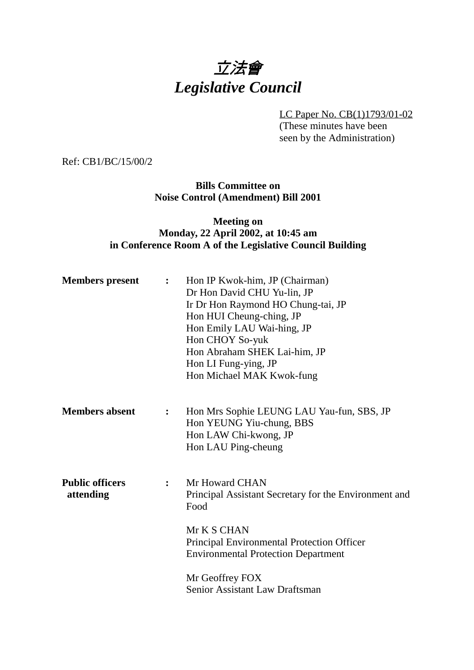# 立法會 *Legislative Council*

LC Paper No. CB(1)1793/01-02 (These minutes have been seen by the Administration)

Ref: CB1/BC/15/00/2

**Bills Committee on Noise Control (Amendment) Bill 2001**

## **Meeting on Monday, 22 April 2002, at 10:45 am in Conference Room A of the Legislative Council Building**

| <b>Members</b> present              | $\ddot{\cdot}$ | Hon IP Kwok-him, JP (Chairman)<br>Dr Hon David CHU Yu-lin, JP<br>Ir Dr Hon Raymond HO Chung-tai, JP<br>Hon HUI Cheung-ching, JP<br>Hon Emily LAU Wai-hing, JP<br>Hon CHOY So-yuk<br>Hon Abraham SHEK Lai-him, JP<br>Hon LI Fung-ying, JP<br>Hon Michael MAK Kwok-fung |
|-------------------------------------|----------------|-----------------------------------------------------------------------------------------------------------------------------------------------------------------------------------------------------------------------------------------------------------------------|
| <b>Members absent</b>               | $\ddot{\cdot}$ | Hon Mrs Sophie LEUNG LAU Yau-fun, SBS, JP<br>Hon YEUNG Yiu-chung, BBS<br>Hon LAW Chi-kwong, JP<br>Hon LAU Ping-cheung                                                                                                                                                 |
| <b>Public officers</b><br>attending | $\ddot{\cdot}$ | Mr Howard CHAN<br>Principal Assistant Secretary for the Environment and<br>Food<br>Mr K S CHAN<br><b>Principal Environmental Protection Officer</b><br><b>Environmental Protection Department</b>                                                                     |
|                                     |                | Mr Geoffrey FOX<br><b>Senior Assistant Law Draftsman</b>                                                                                                                                                                                                              |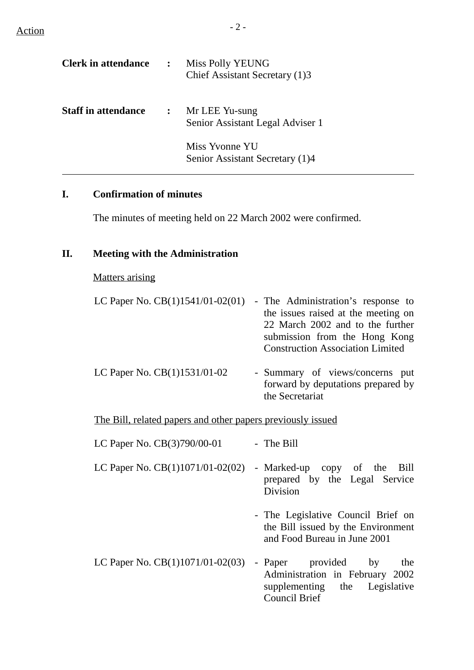$\text{Action}$   $-2$  -

 $\overline{a}$ 

| <b>Clerk in attendance</b> | $\mathbb{R}^2$ | Miss Polly YEUNG<br>Chief Assistant Secretary (1)3 |
|----------------------------|----------------|----------------------------------------------------|
| <b>Staff in attendance</b> | $\mathbf{L}$   | Mr LEE Yu-sung<br>Senior Assistant Legal Adviser 1 |
|                            |                | Miss Yvonne YU                                     |

#### **I. Confirmation of minutes**

The minutes of meeting held on 22 March 2002 were confirmed.

Senior Assistant Secretary (1)4

#### **II. Meeting with the Administration**

#### Matters arising

| LC Paper No. $CB(1)1541/01-02(01)$ - The Administration's response to |
|-----------------------------------------------------------------------|
| the issues raised at the meeting on                                   |
| 22 March 2002 and to the further                                      |
| submission from the Hong Kong                                         |
| <b>Construction Association Limited</b>                               |
|                                                                       |
|                                                                       |

LC Paper No. CB(1)1531/01-02 - Summary of views/concerns put forward by deputations prepared by the Secretariat

The Bill, related papers and other papers previously issued

| LC Paper No. CB(3)790/00-01 | - The Bill |
|-----------------------------|------------|
|-----------------------------|------------|

- LC Paper No.  $CB(1)1071/01-02(02)$  Marked-up copy of the Bill prepared by the Legal Service Division
	- The Legislative Council Brief on the Bill issued by the Environment and Food Bureau in June 2001
- LC Paper No.  $CB(1)1071/01-02(03)$  Paper provided by the Administration in February 2002 supplementing the Legislative Council Brief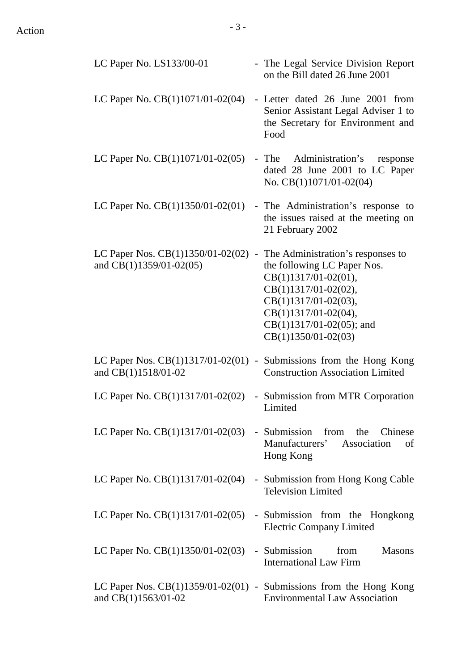| LC Paper No. LS133/00-01                                                                    |                   | - The Legal Service Division Report<br>on the Bill dated 26 June 2001                                                                                                                                                          |
|---------------------------------------------------------------------------------------------|-------------------|--------------------------------------------------------------------------------------------------------------------------------------------------------------------------------------------------------------------------------|
| LC Paper No. $CB(1)1071/01-02(04)$                                                          |                   | - Letter dated 26 June 2001 from<br>Senior Assistant Legal Adviser 1 to<br>the Secretary for Environment and<br>Food                                                                                                           |
| LC Paper No. $CB(1)1071/01-02(05)$                                                          |                   | Administration's<br>- The<br>response<br>dated 28 June 2001 to LC Paper<br>No. $CB(1)1071/01-02(04)$                                                                                                                           |
| LC Paper No. $CB(1)1350/01-02(01)$                                                          |                   | - The Administration's response to<br>the issues raised at the meeting on<br>21 February 2002                                                                                                                                  |
| LC Paper Nos. $CB(1)1350/01-02(02)$<br>and $CB(1)1359/01-02(05)$                            | $\qquad \qquad -$ | The Administration's responses to<br>the following LC Paper Nos.<br>$CB(1)1317/01-02(01),$<br>CB(1)1317/01-02(02),<br>$CB(1)1317/01-02(03),$<br>$CB(1)1317/01-02(04),$<br>$CB(1)1317/01-02(05)$ ; and<br>$CB(1)1350/01-02(03)$ |
| LC Paper Nos. $CB(1)1317/01-02(01)$ - Submissions from the Hong Kong<br>and CB(1)1518/01-02 |                   | <b>Construction Association Limited</b>                                                                                                                                                                                        |
| LC Paper No. CB(1)1317/01-02(02)                                                            |                   | - Submission from MTR Corporation<br>Limited                                                                                                                                                                                   |
| LC Paper No. $CB(1)1317/01-02(03)$ - Submission from the Chinese                            |                   | Manufacturers' Association<br>of<br>Hong Kong                                                                                                                                                                                  |
| LC Paper No. $CB(1)1317/01-02(04)$                                                          |                   | - Submission from Hong Kong Cable<br><b>Television Limited</b>                                                                                                                                                                 |
| LC Paper No. $CB(1)1317/01-02(05)$                                                          |                   | - Submission from the Hongkong<br><b>Electric Company Limited</b>                                                                                                                                                              |
| LC Paper No. $CB(1)1350/01-02(03)$ - Submission from                                        |                   | <b>Masons</b><br><b>International Law Firm</b>                                                                                                                                                                                 |
| LC Paper Nos. $CB(1)1359/01-02(01)$ - Submissions from the Hong Kong<br>and CB(1)1563/01-02 |                   | <b>Environmental Law Association</b>                                                                                                                                                                                           |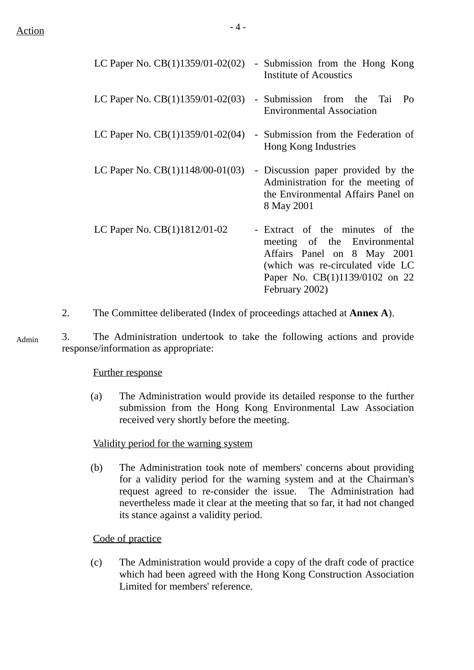| LC Paper No. $CB(1)1359/01-02(02)$ | - Submission from the Hong Kong<br>Institute of Acoustics                                                                                                                              |
|------------------------------------|----------------------------------------------------------------------------------------------------------------------------------------------------------------------------------------|
| LC Paper No. $CB(1)1359/01-02(03)$ | - Submission from the Tai<br>P <sub>O</sub><br><b>Environmental Association</b>                                                                                                        |
| LC Paper No. $CB(1)1359/01-02(04)$ | - Submission from the Federation of<br>Hong Kong Industries                                                                                                                            |
| LC Paper No. $CB(1)1148/00-01(03)$ | - Discussion paper provided by the<br>Administration for the meeting of<br>the Environmental Affairs Panel on<br>8 May 2001                                                            |
| LC Paper No. CB(1)1812/01-02       | - Extract of the minutes of the<br>meeting of the Environmental<br>Affairs Panel on 8 May 2001<br>(which was re-circulated vide LC<br>Paper No. CB(1)1139/0102 on 22<br>February 2002) |

- 2. The Committee deliberated (Index of proceedings attached at **Annex A**).
- 3. The Administration undertook to take the following actions and provide response/information as appropriate: Admin

#### Further response

(a) The Administration would provide its detailed response to the further submission from the Hong Kong Environmental Law Association received very shortly before the meeting.

#### Validity period for the warning system

(b) The Administration took note of members' concerns about providing for a validity period for the warning system and at the Chairman's request agreed to re-consider the issue. The Administration had nevertheless made it clear at the meeting that so far, it had not changed its stance against a validity period.

#### Code of practice

(c) The Administration would provide a copy of the draft code of practice which had been agreed with the Hong Kong Construction Association Limited for members' reference.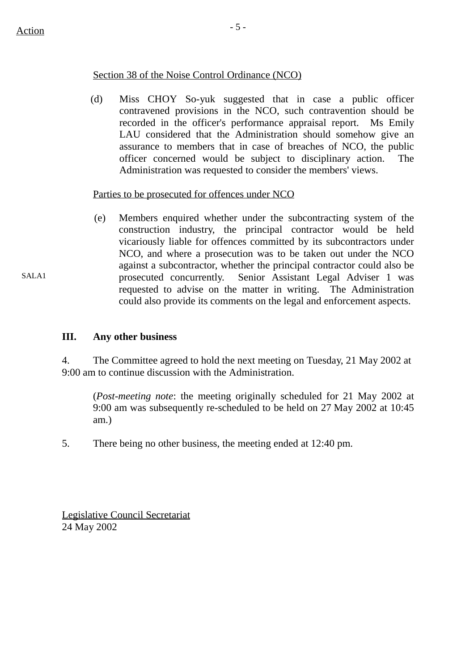SALA1

#### Section 38 of the Noise Control Ordinance (NCO)

(d) Miss CHOY So-yuk suggested that in case a public officer contravened provisions in the NCO, such contravention should be recorded in the officer's performance appraisal report. Ms Emily LAU considered that the Administration should somehow give an assurance to members that in case of breaches of NCO, the public officer concerned would be subject to disciplinary action. The Administration was requested to consider the members' views.

#### Parties to be prosecuted for offences under NCO

(e) Members enquired whether under the subcontracting system of the construction industry, the principal contractor would be held vicariously liable for offences committed by its subcontractors under NCO, and where a prosecution was to be taken out under the NCO against a subcontractor, whether the principal contractor could also be prosecuted concurrently. Senior Assistant Legal Adviser 1 was requested to advise on the matter in writing. The Administration could also provide its comments on the legal and enforcement aspects.

### **III. Any other business**

4. The Committee agreed to hold the next meeting on Tuesday, 21 May 2002 at 9:00 am to continue discussion with the Administration.

(*Post-meeting note*: the meeting originally scheduled for 21 May 2002 at 9:00 am was subsequently re-scheduled to be held on 27 May 2002 at 10:45 am.)

5. There being no other business, the meeting ended at 12:40 pm.

Legislative Council Secretariat 24 May 2002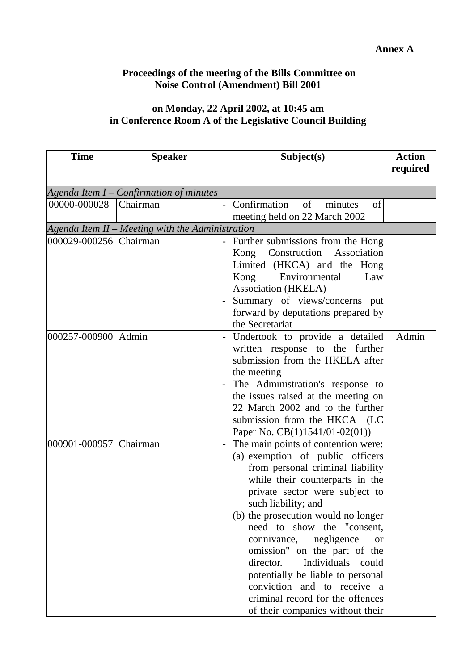## **Proceedings of the meeting of the Bills Committee on Noise Control (Amendment) Bill 2001**

## **on Monday, 22 April 2002, at 10:45 am in Conference Room A of the Legislative Council Building**

| <b>Time</b>            | <b>Speaker</b>                                   | Subject(s)                                                                                                                                                                                                                                                                                                                                                                                                                                                                                                                             | <b>Action</b><br>required |
|------------------------|--------------------------------------------------|----------------------------------------------------------------------------------------------------------------------------------------------------------------------------------------------------------------------------------------------------------------------------------------------------------------------------------------------------------------------------------------------------------------------------------------------------------------------------------------------------------------------------------------|---------------------------|
|                        | Agenda Item $I$ – Confirmation of minutes        |                                                                                                                                                                                                                                                                                                                                                                                                                                                                                                                                        |                           |
| 00000-000028           | Chairman                                         | Confirmation<br>of<br>of<br>minutes<br>meeting held on 22 March 2002                                                                                                                                                                                                                                                                                                                                                                                                                                                                   |                           |
|                        | Agenda Item II – Meeting with the Administration |                                                                                                                                                                                                                                                                                                                                                                                                                                                                                                                                        |                           |
| 000029-000256 Chairman |                                                  | Further submissions from the Hong<br>Kong Construction Association<br>Limited (HKCA) and the Hong<br>Environmental<br>Kong<br>Law<br>Association (HKELA)<br>Summary of views/concerns put<br>forward by deputations prepared by<br>the Secretariat                                                                                                                                                                                                                                                                                     |                           |
| 000257-000900 Admin    |                                                  | Undertook to provide a detailed<br>written response to the further<br>submission from the HKELA after<br>the meeting<br>The Administration's response to<br>the issues raised at the meeting on<br>22 March 2002 and to the further<br>submission from the HKCA (LC<br>Paper No. CB(1)1541/01-02(01))                                                                                                                                                                                                                                  | Admin                     |
| 000901-000957 Chairman |                                                  | The main points of contention were:<br>(a) exemption of public officers<br>from personal criminal liability<br>while their counterparts in the<br>private sector were subject to<br>such liability; and<br>(b) the prosecution would no longer<br>need to show the "consent,<br>connivance,<br>negligence<br>$\alpha$<br>omission" on the part of the<br>Individuals<br>director.<br>could<br>potentially be liable to personal<br>conviction and to receive a<br>criminal record for the offences<br>of their companies without their |                           |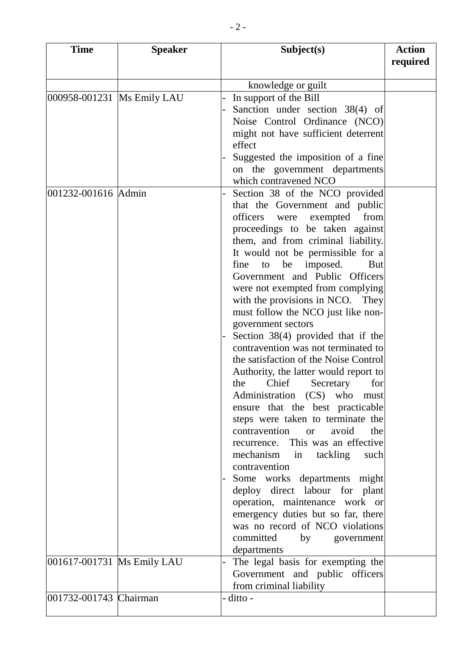| <b>Time</b>                 | <b>Speaker</b> | Subject(s)                                                                  | <b>Action</b> |
|-----------------------------|----------------|-----------------------------------------------------------------------------|---------------|
|                             |                |                                                                             | required      |
|                             |                | knowledge or guilt                                                          |               |
| 000958-001231  Ms Emily LAU |                | In support of the Bill                                                      |               |
|                             |                | Sanction under section 38(4) of                                             |               |
|                             |                | Noise Control Ordinance (NCO)                                               |               |
|                             |                | might not have sufficient deterrent                                         |               |
|                             |                | effect                                                                      |               |
|                             |                | Suggested the imposition of a fine                                          |               |
|                             |                | on the government departments                                               |               |
|                             |                | which contravened NCO                                                       |               |
| 001232-001616 Admin         |                | Section 38 of the NCO provided                                              |               |
|                             |                | that the Government and public                                              |               |
|                             |                | officers were exempted from                                                 |               |
|                             |                | proceedings to be taken against<br>them, and from criminal liability.       |               |
|                             |                | It would not be permissible for a                                           |               |
|                             |                | fine<br>to be imposed.<br><b>But</b>                                        |               |
|                             |                | Government and Public Officers                                              |               |
|                             |                | were not exempted from complying                                            |               |
|                             |                | with the provisions in NCO.<br>They                                         |               |
|                             |                | must follow the NCO just like non-                                          |               |
|                             |                | government sectors                                                          |               |
|                             |                | Section $38(4)$ provided that if the                                        |               |
|                             |                | contravention was not terminated to                                         |               |
|                             |                | the satisfaction of the Noise Control                                       |               |
|                             |                | Authority, the latter would report to                                       |               |
|                             |                | Chief<br>Secretary<br>the<br>for                                            |               |
|                             |                | Administration (CS) who<br>must                                             |               |
|                             |                | ensure that the best practicable                                            |               |
|                             |                | steps were taken to terminate the<br>contravention<br>avoid<br>or or<br>the |               |
|                             |                | recurrence. This was an effective                                           |               |
|                             |                | mechanism in<br>tackling<br>such                                            |               |
|                             |                | contravention                                                               |               |
|                             |                | Some works departments might                                                |               |
|                             |                | deploy direct labour for plant                                              |               |
|                             |                | operation, maintenance work or                                              |               |
|                             |                | emergency duties but so far, there                                          |               |
|                             |                | was no record of NCO violations                                             |               |
|                             |                | committed<br>by<br>government                                               |               |
|                             |                | departments                                                                 |               |
| 001617-001731 Ms Emily LAU  |                | The legal basis for exempting the                                           |               |
|                             |                | Government and public officers                                              |               |
| 001732-001743 Chairman      |                | from criminal liability<br>- ditto -                                        |               |
|                             |                |                                                                             |               |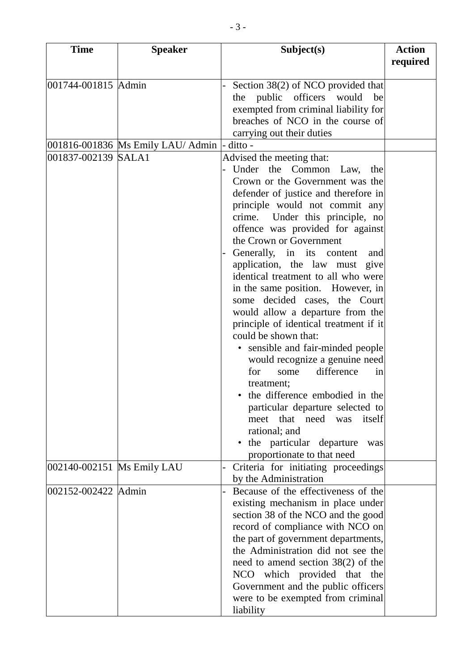| <b>Time</b>                | <b>Speaker</b>                    | Subject(s)                             | <b>Action</b> |
|----------------------------|-----------------------------------|----------------------------------------|---------------|
|                            |                                   |                                        | required      |
|                            |                                   |                                        |               |
| 001744-001815 Admin        |                                   | Section 38(2) of NCO provided that     |               |
|                            |                                   | public officers would<br>be<br>the     |               |
|                            |                                   | exempted from criminal liability for   |               |
|                            |                                   | breaches of NCO in the course of       |               |
|                            |                                   | carrying out their duties              |               |
|                            | 001816-001836 Ms Emily LAU/ Admin | - ditto -                              |               |
| 001837-002139 SALA1        |                                   | Advised the meeting that:              |               |
|                            |                                   | Under the Common Law,<br>the           |               |
|                            |                                   | Crown or the Government was the        |               |
|                            |                                   | defender of justice and therefore in   |               |
|                            |                                   | principle would not commit any         |               |
|                            |                                   | crime. Under this principle, no        |               |
|                            |                                   | offence was provided for against       |               |
|                            |                                   | the Crown or Government                |               |
|                            |                                   | Generally, in its content<br>and       |               |
|                            |                                   | application, the law must<br>give      |               |
|                            |                                   | identical treatment to all who were    |               |
|                            |                                   | in the same position. However, in      |               |
|                            |                                   | decided cases, the Court<br>some       |               |
|                            |                                   | would allow a departure from the       |               |
|                            |                                   | principle of identical treatment if it |               |
|                            |                                   | could be shown that:                   |               |
|                            |                                   | sensible and fair-minded people        |               |
|                            |                                   | would recognize a genuine need         |               |
|                            |                                   | difference<br>for<br>some<br>in        |               |
|                            |                                   | treatment;                             |               |
|                            |                                   | the difference embodied in the         |               |
|                            |                                   | particular departure selected to       |               |
|                            |                                   | that need<br>itself<br>meet<br>was     |               |
|                            |                                   | rational; and                          |               |
|                            |                                   | the particular departure<br>was        |               |
|                            |                                   | proportionate to that need             |               |
| 002140-002151 Ms Emily LAU |                                   | Criteria for initiating proceedings    |               |
|                            |                                   | by the Administration                  |               |
| 002152-002422 Admin        |                                   | Because of the effectiveness of the    |               |
|                            |                                   | existing mechanism in place under      |               |
|                            |                                   | section 38 of the NCO and the good     |               |
|                            |                                   | record of compliance with NCO on       |               |
|                            |                                   | the part of government departments,    |               |
|                            |                                   | the Administration did not see the     |               |
|                            |                                   | need to amend section $38(2)$ of the   |               |
|                            |                                   | NCO which provided that the            |               |
|                            |                                   | Government and the public officers     |               |
|                            |                                   | were to be exempted from criminal      |               |
|                            |                                   | liability                              |               |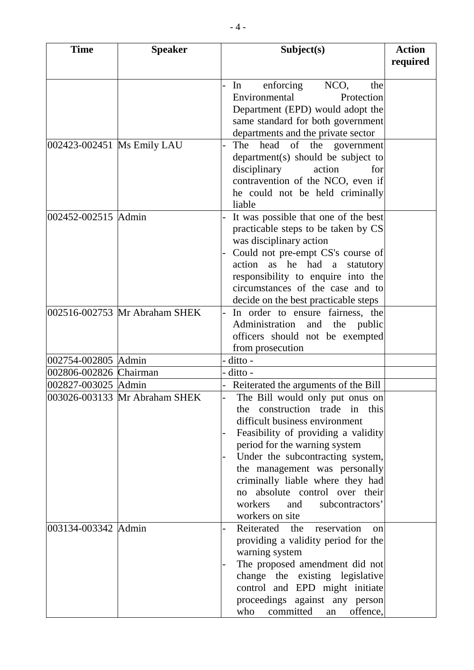| <b>Time</b>                | <b>Speaker</b>                | Subject(s)                           | <b>Action</b> |
|----------------------------|-------------------------------|--------------------------------------|---------------|
|                            |                               |                                      | required      |
|                            |                               |                                      |               |
|                            |                               | enforcing<br>NCO,<br>In<br>the       |               |
|                            |                               | Environmental<br>Protection          |               |
|                            |                               | Department (EPD) would adopt the     |               |
|                            |                               | same standard for both government    |               |
|                            |                               | departments and the private sector   |               |
| 002423-002451 Ms Emily LAU |                               | The head<br>of the government        |               |
|                            |                               |                                      |               |
|                            |                               | $department(s)$ should be subject to |               |
|                            |                               | disciplinary<br>action<br>for        |               |
|                            |                               | contravention of the NCO, even if    |               |
|                            |                               | he could not be held criminally      |               |
|                            |                               | liable                               |               |
| 002452-002515 Admin        |                               | It was possible that one of the best |               |
|                            |                               | practicable steps to be taken by CS  |               |
|                            |                               | was disciplinary action              |               |
|                            |                               | Could not pre-empt CS's course of    |               |
|                            |                               | action as he had a<br>statutory      |               |
|                            |                               | responsibility to enquire into the   |               |
|                            |                               | circumstances of the case and to     |               |
|                            |                               | decide on the best practicable steps |               |
|                            | 002516-002753 Mr Abraham SHEK | In order to ensure fairness, the     |               |
|                            |                               | Administration<br>and the public     |               |
|                            |                               | officers should not be exempted      |               |
|                            |                               | from prosecution                     |               |
| 002754-002805 Admin        |                               | ditto -                              |               |
| 002806-002826 Chairman     |                               | ditto -                              |               |
|                            |                               |                                      |               |
| 002827-003025 Admin        |                               | Reiterated the arguments of the Bill |               |
|                            | 003026-003133 Mr Abraham SHEK | The Bill would only put onus on      |               |
|                            |                               | the construction trade in this       |               |
|                            |                               | difficult business environment       |               |
|                            |                               | Feasibility of providing a validity  |               |
|                            |                               | period for the warning system        |               |
|                            |                               | Under the subcontracting system,     |               |
|                            |                               | the management was personally        |               |
|                            |                               | criminally liable where they had     |               |
|                            |                               | absolute control over their<br>no    |               |
|                            |                               | workers<br>and<br>subcontractors'    |               |
|                            |                               | workers on site                      |               |
| 003134-003342 Admin        |                               | Reiterated the reservation<br>on     |               |
|                            |                               | providing a validity period for the  |               |
|                            |                               | warning system                       |               |
|                            |                               | The proposed amendment did not       |               |
|                            |                               | change the existing legislative      |               |
|                            |                               | control and EPD might initiate       |               |
|                            |                               | proceedings against any person       |               |
|                            |                               |                                      |               |
|                            |                               | committed<br>offence,<br>who<br>an   |               |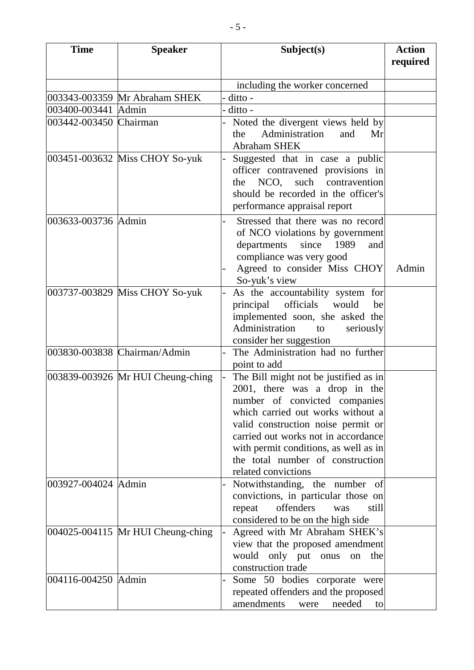| <b>Time</b>            | <b>Speaker</b>                    | Subject(s)                                                                                                                                                                                                                                                                                                                    | <b>Action</b><br>required |
|------------------------|-----------------------------------|-------------------------------------------------------------------------------------------------------------------------------------------------------------------------------------------------------------------------------------------------------------------------------------------------------------------------------|---------------------------|
|                        |                                   | including the worker concerned                                                                                                                                                                                                                                                                                                |                           |
|                        | 003343-003359 Mr Abraham SHEK     | ditto -                                                                                                                                                                                                                                                                                                                       |                           |
| 003400-003441 Admin    |                                   | ditto -                                                                                                                                                                                                                                                                                                                       |                           |
| 003442-003450 Chairman |                                   | Noted the divergent views held by<br>Administration<br>and<br>the<br>Mr<br><b>Abraham SHEK</b>                                                                                                                                                                                                                                |                           |
|                        | 003451-003632 Miss CHOY So-yuk    | Suggested that in case a public<br>officer contravened provisions in<br>NCO, such contravention<br>the<br>should be recorded in the officer's<br>performance appraisal report                                                                                                                                                 |                           |
| 003633-003736 Admin    |                                   | Stressed that there was no record<br>of NCO violations by government<br>departments<br>since<br>1989<br>and<br>compliance was very good<br>Agreed to consider Miss CHOY<br>So-yuk's view                                                                                                                                      | Admin                     |
|                        | 003737-003829 Miss CHOY So-yuk    | As the accountability system for<br>principal officials would<br>be<br>implemented soon, she asked the<br>Administration<br>seriously<br>to<br>consider her suggestion                                                                                                                                                        |                           |
|                        | 003830-003838 Chairman/Admin      | The Administration had no further<br>point to add                                                                                                                                                                                                                                                                             |                           |
|                        | 003839-003926 Mr HUI Cheung-ching | The Bill might not be justified as in<br>2001, there was a drop in the<br>number of convicted companies<br>which carried out works without a<br>valid construction noise permit or<br>carried out works not in accordance<br>with permit conditions, as well as in<br>the total number of construction<br>related convictions |                           |
| 003927-004024 Admin    |                                   | Notwithstanding, the number of<br>convictions, in particular those on<br>offenders<br>still<br>repeat<br>was<br>considered to be on the high side                                                                                                                                                                             |                           |
|                        | 004025-004115 Mr HUI Cheung-ching | Agreed with Mr Abraham SHEK's<br>view that the proposed amendment<br>would<br>only put<br>onus<br>the<br>on<br>construction trade                                                                                                                                                                                             |                           |
| 004116-004250 Admin    |                                   | Some 50 bodies corporate were<br>repeated offenders and the proposed<br>amendments<br>needed<br>were<br>to                                                                                                                                                                                                                    |                           |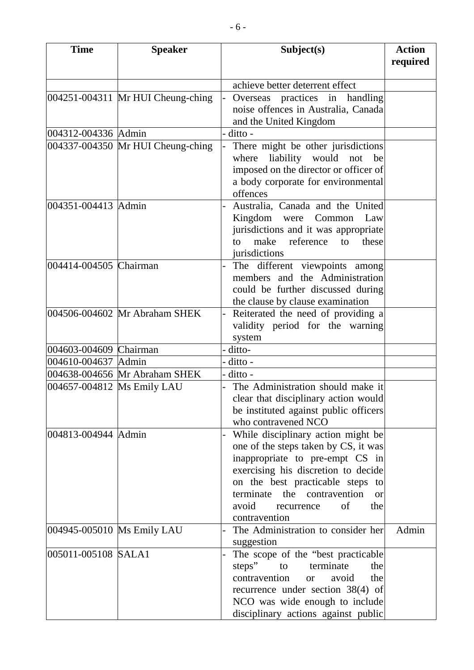| <b>Time</b><br><b>Speaker</b> |                                   | Subject(s)                                 | <b>Action</b> |
|-------------------------------|-----------------------------------|--------------------------------------------|---------------|
|                               |                                   |                                            | required      |
|                               |                                   | achieve better deterrent effect            |               |
|                               | 004251-004311 Mr HUI Cheung-ching | Overseas practices in handling             |               |
|                               |                                   | noise offences in Australia, Canada        |               |
|                               |                                   | and the United Kingdom                     |               |
| 004312-004336 Admin           |                                   | ditto -                                    |               |
|                               | 004337-004350 Mr HUI Cheung-ching | There might be other jurisdictions         |               |
|                               |                                   | where<br>liability would<br>not<br>be      |               |
|                               |                                   | imposed on the director or officer of      |               |
|                               |                                   | a body corporate for environmental         |               |
|                               |                                   | offences                                   |               |
| 004351-004413 Admin           |                                   | Australia, Canada and the United           |               |
|                               |                                   | Kingdom were Common Law                    |               |
|                               |                                   | jurisdictions and it was appropriate       |               |
|                               |                                   | make reference to<br>these<br>to           |               |
|                               |                                   | jurisdictions                              |               |
| 004414-004505 Chairman        |                                   | The different viewpoints among             |               |
|                               |                                   | members and the Administration             |               |
|                               |                                   | could be further discussed during          |               |
|                               |                                   | the clause by clause examination           |               |
|                               | 004506-004602 Mr Abraham SHEK     | Reiterated the need of providing a         |               |
|                               |                                   | validity period for the warning            |               |
|                               |                                   | system                                     |               |
| 004603-004609 Chairman        |                                   | ditto-                                     |               |
| 004610-004637 Admin           |                                   | ditto -                                    |               |
|                               | 004638-004656 Mr Abraham SHEK     | ditto -                                    |               |
| 004657-004812 Ms Emily LAU    |                                   | The Administration should make it          |               |
|                               |                                   | clear that disciplinary action would       |               |
|                               |                                   | be instituted against public officers      |               |
|                               |                                   | who contravened NCO                        |               |
| 004813-004944 Admin           |                                   | While disciplinary action might be         |               |
|                               |                                   | one of the steps taken by CS, it was       |               |
|                               |                                   | inappropriate to pre-empt CS in            |               |
|                               |                                   | exercising his discretion to decide        |               |
|                               |                                   | on the best practicable steps to           |               |
|                               |                                   | terminate the contravention<br>$\alpha$    |               |
|                               |                                   | avoid<br>of<br>the<br>recurrence           |               |
|                               |                                   | contravention                              |               |
| 004945-005010 Ms Emily LAU    |                                   | The Administration to consider her         | Admin         |
|                               |                                   | suggestion                                 |               |
| 005011-005108 SALA1           |                                   | The scope of the "best practicable"        |               |
|                               |                                   | steps"<br>terminate<br>to<br>the           |               |
|                               |                                   | contravention<br>the<br>avoid<br><b>or</b> |               |
|                               |                                   | recurrence under section 38(4) of          |               |
|                               |                                   | NCO was wide enough to include             |               |
|                               |                                   | disciplinary actions against public        |               |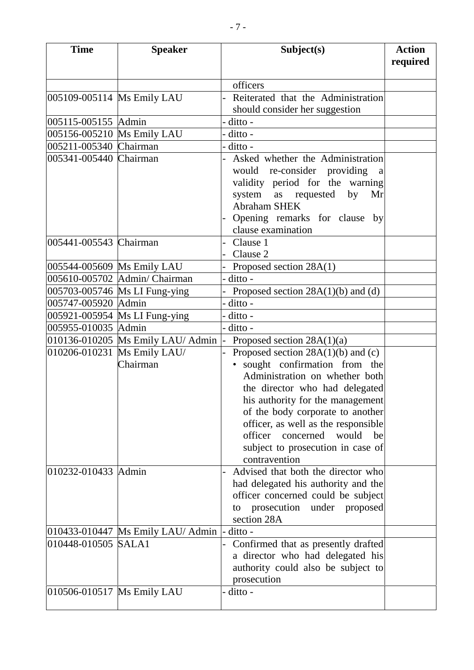| <b>Time</b>                | <b>Speaker</b>                    | Subject(s)                           | <b>Action</b> |
|----------------------------|-----------------------------------|--------------------------------------|---------------|
|                            |                                   |                                      | required      |
|                            |                                   |                                      |               |
|                            |                                   | officers                             |               |
| 005109-005114 Ms Emily LAU |                                   | Reiterated that the Administration   |               |
|                            |                                   | should consider her suggestion       |               |
| 005115-005155 Admin        |                                   | $ditto -$                            |               |
| 005156-005210 Ms Emily LAU |                                   | $ditto -$                            |               |
| 005211-005340 Chairman     |                                   | - ditto -                            |               |
| 005341-005440 Chairman     |                                   | Asked whether the Administration     |               |
|                            |                                   | would re-consider providing<br>a     |               |
|                            |                                   | validity period for the warning      |               |
|                            |                                   | system as requested<br>by<br>Mr      |               |
|                            |                                   | <b>Abraham SHEK</b>                  |               |
|                            |                                   | Opening remarks for clause by        |               |
|                            |                                   | clause examination                   |               |
| 005441-005543 Chairman     |                                   | Clause 1                             |               |
|                            |                                   | Clause 2                             |               |
| 005544-005609 Ms Emily LAU |                                   | Proposed section 28A(1)              |               |
|                            | 005610-005702 Admin/ Chairman     | ditto -                              |               |
|                            | 005703-005746 Ms LI Fung-ying     | Proposed section $28A(1)(b)$ and (d) |               |
| 005747-005920 Admin        |                                   | ditto -                              |               |
|                            | 005921-005954 Ms LI Fung-ying     | ditto -                              |               |
| 005955-010035 Admin        |                                   | ditto -                              |               |
|                            | 010136-010205 Ms Emily LAU/ Admin | Proposed section $28A(1)(a)$         |               |
|                            | 010206-010231 Ms Emily LAU/       | Proposed section $28A(1)(b)$ and (c) |               |
|                            | Chairman                          | · sought confirmation from the       |               |
|                            |                                   | Administration on whether both       |               |
|                            |                                   | the director who had delegated       |               |
|                            |                                   | his authority for the management     |               |
|                            |                                   | of the body corporate to another     |               |
|                            |                                   | officer, as well as the responsible  |               |
|                            |                                   | officer concerned would<br>be        |               |
|                            |                                   | subject to prosecution in case of    |               |
|                            |                                   | contravention                        |               |
| 010232-010433 Admin        |                                   | Advised that both the director who   |               |
|                            |                                   | had delegated his authority and the  |               |
|                            |                                   | officer concerned could be subject   |               |
|                            |                                   | prosecution under proposed<br>to     |               |
|                            |                                   | section 28A                          |               |
|                            | 010433-010447 Ms Emily LAU/ Admin | $ditto -$                            |               |
| 010448-010505 SALA1        |                                   | Confirmed that as presently drafted  |               |
|                            |                                   | a director who had delegated his     |               |
|                            |                                   | authority could also be subject to   |               |
|                            |                                   | prosecution                          |               |
| 010506-010517 Ms Emily LAU |                                   | ditto -                              |               |
|                            |                                   |                                      |               |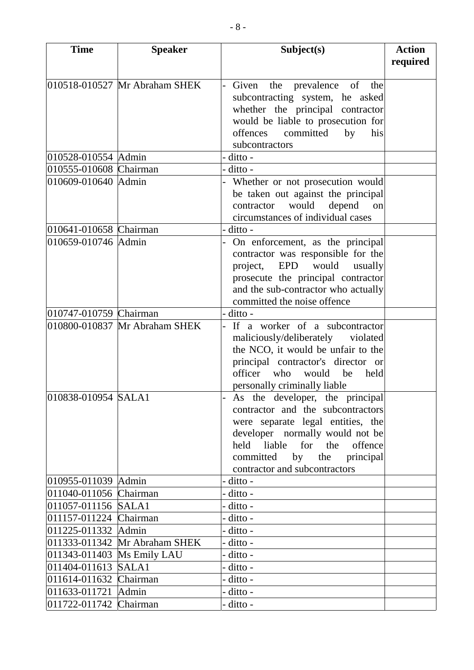| <b>Time</b>                | <b>Speaker</b>                | Subject(s)                                                                  | <b>Action</b> |
|----------------------------|-------------------------------|-----------------------------------------------------------------------------|---------------|
|                            |                               |                                                                             | required      |
|                            |                               |                                                                             |               |
|                            | 010518-010527 Mr Abraham SHEK | Given the prevalence of the                                                 |               |
|                            |                               | subcontracting system, he asked                                             |               |
|                            |                               | whether the principal contractor                                            |               |
|                            |                               | would be liable to prosecution for                                          |               |
|                            |                               | offences committed<br>by<br>his                                             |               |
|                            |                               | subcontractors                                                              |               |
| 010528-010554 Admin        |                               | - ditto -                                                                   |               |
| 010555-010608 Chairman     |                               | - ditto -                                                                   |               |
| 010609-010640 Admin        |                               | Whether or not prosecution would                                            |               |
|                            |                               | be taken out against the principal                                          |               |
|                            |                               | would<br>depend<br>contractor<br>on                                         |               |
|                            |                               | circumstances of individual cases                                           |               |
| 010641-010658 Chairman     |                               | ditto -                                                                     |               |
| 010659-010746 Admin        |                               | On enforcement, as the principal                                            |               |
|                            |                               | contractor was responsible for the                                          |               |
|                            |                               | project, EPD would<br>usually                                               |               |
|                            |                               | prosecute the principal contractor                                          |               |
|                            |                               | and the sub-contractor who actually                                         |               |
|                            |                               | committed the noise offence                                                 |               |
| 010747-010759 Chairman     |                               | - ditto -                                                                   |               |
|                            | 010800-010837 Mr Abraham SHEK | If a worker of a subcontractor                                              |               |
|                            |                               | maliciously/deliberately violated                                           |               |
|                            |                               | the NCO, it would be unfair to the                                          |               |
|                            |                               | principal contractor's director or<br>officer<br>who<br>would<br>be<br>held |               |
|                            |                               |                                                                             |               |
| 010838-010954 SALA1        |                               | personally criminally liable                                                |               |
|                            |                               | As the developer, the principal<br>contractor and the subcontractors        |               |
|                            |                               |                                                                             |               |
|                            |                               | were separate legal entities, the<br>developer normally would not be        |               |
|                            |                               | held liable for the offence                                                 |               |
|                            |                               | committed by the principal                                                  |               |
|                            |                               | contractor and subcontractors                                               |               |
| 010955-011039 Admin        |                               | - ditto -                                                                   |               |
| 011040-011056 Chairman     |                               | - ditto -                                                                   |               |
| 011057-011156 SALA1        |                               | - ditto -                                                                   |               |
| 011157-011224 Chairman     |                               | - ditto -                                                                   |               |
| 011225-011332 Admin        |                               | - ditto -                                                                   |               |
|                            | 011333-011342 Mr Abraham SHEK | - ditto -                                                                   |               |
| 011343-011403 Ms Emily LAU |                               | - ditto -                                                                   |               |
| 011404-011613 SALA1        |                               | - ditto -                                                                   |               |
| 011614-011632 Chairman     |                               | - ditto -                                                                   |               |
| 011633-011721 Admin        |                               | - ditto -                                                                   |               |
| 011722-011742 Chairman     |                               | - ditto -                                                                   |               |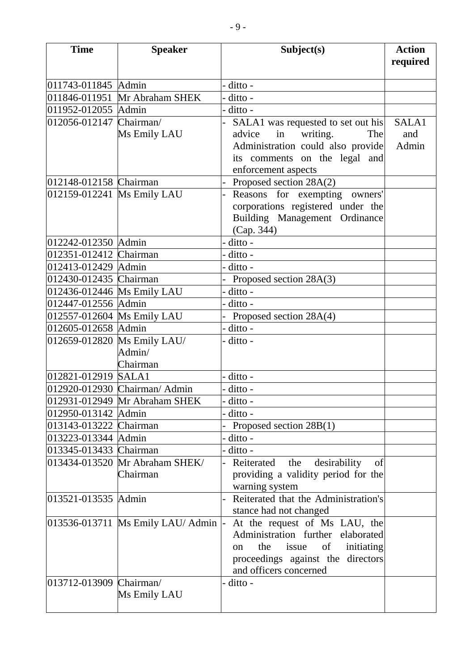| <b>Time</b>                                       | <b>Speaker</b>                        | Subject(s)                                             | <b>Action</b> |
|---------------------------------------------------|---------------------------------------|--------------------------------------------------------|---------------|
|                                                   |                                       |                                                        | required      |
|                                                   |                                       |                                                        |               |
| 011743-011845 Admin                               |                                       | ditto -                                                |               |
| 011846-011951                                     | Mr Abraham SHEK                       | ditto -                                                |               |
| 011952-012055 Admin                               |                                       | ditto -                                                |               |
| 012056-012147 Chairman/                           |                                       | SALA1 was requested to set out his                     | SALA1         |
|                                                   | Ms Emily LAU                          | in<br>advice<br>writing.<br>The                        | and           |
|                                                   |                                       | Administration could also provide                      | Admin         |
|                                                   |                                       | its comments on the legal and                          |               |
|                                                   |                                       | enforcement aspects                                    |               |
| 012148-012158 Chairman                            |                                       | Proposed section 28A(2)                                |               |
| 012159-012241 Ms Emily LAU                        |                                       | Reasons for exempting owners'                          |               |
|                                                   |                                       | corporations registered under the                      |               |
|                                                   |                                       | Building Management Ordinance                          |               |
|                                                   |                                       | (Cap. 344)                                             |               |
| 012242-012350 Admin                               |                                       | ditto -                                                |               |
| 012351-012412 Chairman                            |                                       | ditto -                                                |               |
| 012413-012429 Admin                               |                                       | ditto -                                                |               |
| 012430-012435 Chairman                            |                                       | Proposed section 28A(3)                                |               |
| 012436-012446 Ms Emily LAU<br>012447-012556 Admin |                                       | ditto -                                                |               |
|                                                   |                                       | ditto -                                                |               |
| 012557-012604 Ms Emily LAU<br>012605-012658 Admin |                                       | Proposed section 28A(4)                                |               |
|                                                   |                                       | ditto -                                                |               |
|                                                   | 012659-012820 Ms Emily LAU/<br>Admin/ | ditto -                                                |               |
|                                                   | Chairman                              |                                                        |               |
| 012821-012919                                     | SALA1                                 | ditto -                                                |               |
|                                                   | 012920-012930 Chairman/ Admin         | ditto -                                                |               |
|                                                   | 012931-012949 Mr Abraham SHEK         | ditto -                                                |               |
| 012950-013142 Admin                               |                                       | ditto -                                                |               |
| 013143-013222 Chairman                            |                                       | Proposed section 28B(1)                                |               |
| 013223-013344 Admin                               |                                       | ditto -                                                |               |
| 013345-013433 Chairman                            |                                       | ditto -                                                |               |
|                                                   | 013434-013520 Mr Abraham SHEK/        | desirability<br>Reiterated<br>the<br>of                |               |
|                                                   | Chairman                              | providing a validity period for the                    |               |
|                                                   |                                       | warning system                                         |               |
| 013521-013535 Admin                               |                                       | Reiterated that the Administration's<br>$\overline{a}$ |               |
|                                                   |                                       | stance had not changed                                 |               |
|                                                   | 013536-013711 Ms Emily LAU/ Admin     | At the request of Ms LAU, the<br>$\vert$ -             |               |
|                                                   |                                       | Administration further elaborated                      |               |
|                                                   |                                       | the<br>issue<br>of<br>initiating<br>on.                |               |
|                                                   |                                       | proceedings against the directors                      |               |
|                                                   |                                       | and officers concerned                                 |               |
| 013712-013909 Chairman/                           |                                       | ditto -                                                |               |
|                                                   | Ms Emily LAU                          |                                                        |               |
|                                                   |                                       |                                                        |               |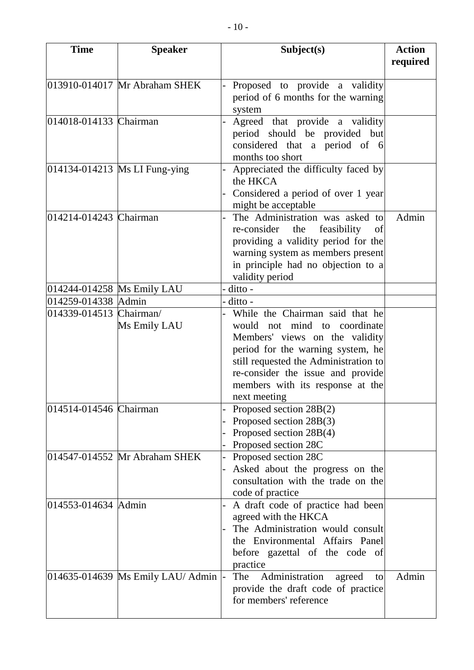| <b>Time</b>                | <b>Speaker</b>                       | Subject(s)                                                  | <b>Action</b> |
|----------------------------|--------------------------------------|-------------------------------------------------------------|---------------|
|                            |                                      |                                                             | required      |
|                            |                                      |                                                             |               |
|                            | 013910-014017 Mr Abraham SHEK        | Proposed to provide a validity                              |               |
|                            |                                      | period of 6 months for the warning                          |               |
|                            |                                      | system                                                      |               |
| 014018-014133 Chairman     |                                      | Agreed that provide a validity<br>$\overline{\phantom{a}}$  |               |
|                            |                                      | period should be provided but                               |               |
|                            |                                      | considered that a period of 6                               |               |
|                            |                                      | months too short                                            |               |
|                            | 014134-014213 Ms LI Fung-ying        | Appreciated the difficulty faced by                         |               |
|                            |                                      | the HKCA                                                    |               |
|                            |                                      | Considered a period of over 1 year                          |               |
|                            |                                      | might be acceptable                                         |               |
| 014214-014243 Chairman     |                                      | The Administration was asked to<br>$\overline{\phantom{0}}$ | Admin         |
|                            |                                      | re-consider the feasibility<br>of                           |               |
|                            |                                      | providing a validity period for the                         |               |
|                            |                                      | warning system as members present                           |               |
|                            |                                      | in principle had no objection to a                          |               |
|                            |                                      | validity period                                             |               |
| 014244-014258 Ms Emily LAU |                                      | - ditto -                                                   |               |
| 014259-014338 Admin        |                                      | - ditto -                                                   |               |
| 014339-014513 Chairman/    |                                      | While the Chairman said that he                             |               |
|                            | Ms Emily LAU                         | would not mind to coordinate                                |               |
|                            |                                      | Members' views on the validity                              |               |
|                            |                                      | period for the warning system, he                           |               |
|                            |                                      | still requested the Administration to                       |               |
|                            |                                      | re-consider the issue and provide                           |               |
|                            |                                      | members with its response at the                            |               |
|                            |                                      | next meeting                                                |               |
| 014514-014546 Chairman     |                                      | Proposed section 28B(2)                                     |               |
|                            |                                      | Proposed section 28B(3)                                     |               |
|                            |                                      | Proposed section 28B(4)                                     |               |
|                            |                                      | Proposed section 28C                                        |               |
|                            | 014547-014552 Mr Abraham SHEK        | Proposed section 28C                                        |               |
|                            |                                      | Asked about the progress on the                             |               |
|                            |                                      | consultation with the trade on the                          |               |
|                            |                                      | code of practice                                            |               |
| 014553-014634 Admin        |                                      | A draft code of practice had been                           |               |
|                            |                                      | agreed with the HKCA                                        |               |
|                            |                                      | The Administration would consult                            |               |
|                            |                                      | the Environmental Affairs Panel                             |               |
|                            |                                      | before gazettal of the code of                              |               |
|                            |                                      | practice                                                    |               |
|                            | 014635-014639 Ms Emily LAU/ Admin  - | Administration<br>The<br>agreed<br>to                       | Admin         |
|                            |                                      | provide the draft code of practice                          |               |
|                            |                                      | for members' reference                                      |               |
|                            |                                      |                                                             |               |